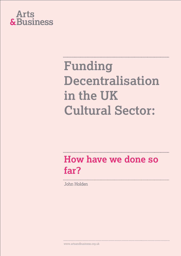

### **Funding Decentralisation in the UK Cultural Sector:**

### **How have we done so far?**

John Holden

www.artsandbusiness.org.uk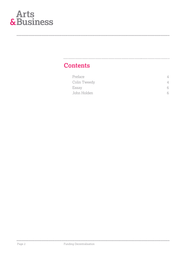

#### **Contents**

| Preface      |   |
|--------------|---|
| Colin Tweedy |   |
| Essay        | 6 |
| John Holden  |   |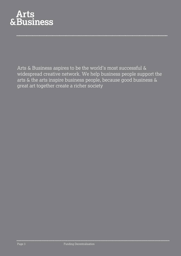

Arts & Business aspires to be the world's most successful & widespread creative network. We help business people support the arts & the arts inspire business people, because good business & great art together create a richer society.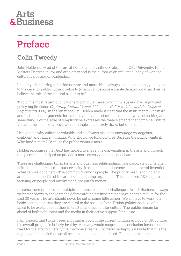### **Preface**

#### **Colin Tweedy**

John Holden is Head of Culture at Demos and a visiting Professor at City University. He has Masters Degrees in law and art history and is the author of an influential body of work on cultural value and on leadership.

I find myself referring to his ideas more and more. He is always able to add energy and verve to the case for public cultural subsidy (which can become a sterile debate) but what does he believe the role of the cultural sector to be?

Two of his most recent publications in particular have caught my eye and had significant policy implications: Capturing Cultural Value (2004) and Cultural Value and the Crisis of Legitimacy (2006). In the latter booklet, Holden made it clear that the instrumental, intrinsic and institutional arguments for cultural value are best seen as different ways of looking at the same thing. For the sake of simplicity he expresses the three elements that combine Cultural Value in the shape of an equilateral triangle, one I rarely draw, but often quote.

He explains why culture is valuable and as always his ideas encourage courageous, confident and radical thinking. Why should we fund culture? Because the public wants it. Why fund it more? Because the public wants it more.

Holden recognises that A&B has helped to shape this conversation in the arts and through this piece he has helped us provide a more extensive arsenal of debate.

These are challenging times for arts and business relationships. The corporate door is often neither open nor closed — but necessity, in difficult times, becomes the mother of invention. What can we do to help? The common ground is people. The priority need is to find and articulate the benefits of the arts, not the funding arguments. This has been A&Bs approach, focusing on people and involvement, not purely money.

It seems there is a need for multiple solutions to complex challenges. Arts & Business always welcomes views to shake up the debate around art funding that have dogged culture for the past 30 years. The arts should never be put in some little corner. We all have to work to a basic assumption that they are central to the social debate. British politicians have often failed to be explicit about their interest in and support for culture. The public remain far ahead of both politicians and the media in their active support for culture.

I am pleased that Holden sees a lot that is good in the current funding ecology of UK culture; his overall prognosis is fairly healthy. As many would suspect, his conclusion focuses on the need for the arts to diversify their income streams. Old news perhaps; but I note that it is the urgency of this task that we all need to listen to and take heed. The time is for action.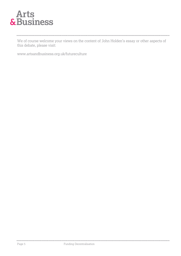We of course welcome your views on the content of John Holden's essay or other aspects of this debate, please visit:

www.artsandbusiness.org.uk/futureculture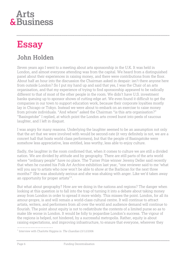### **Essay**

### **John Holden**

Seven years ago I went to a meeting about arts sponsorship in the U.K. It was held in London, and almost everyone attending was from the capital. We heard from a distinguished panel about their experiences in raising money, and there were contributions from the floor. About half an hour into the discussion the Chairman asked in despair: isn't there anyone here from outside London? So I put my hand up and said that yes, I was the Chair of an arts organisation, and that my experience of trying to find sponsorship appeared to be radically different to that of most of the other people in the room. We didn't have U.S. investment banks queuing up to sponsor shows of cutting edge art. We even found it difficult to get the companies in our town to support education work, because their corporate loyalties mostly lay in Chicago or Tokyo. Instead we were about to embark on an exercise to raise money from private individuals. "And where" asked the Chairman "is this arts organisation?" "Basingstoke" I replied, at which point the London arts crowd burst into peels of raucous laughter, and I left in disgust.

I was angry for many reasons. Underlying the laughter seemed to be an assumption not only that the art that we were involved with would be second-rate (it very definitely is not, we are a concert hall that hosts world class performers), but that the people of Basingstoke were somehow less appreciative, less entitled, less worthy, less able to enjoy culture.

Sadly, the laughter in the room confirmed that, when it comes to culture we are still a divided nation. We are divided by attitude and by geography. There are still parts of the arts world where "ordinary people" have no place. The Turner Prize winner Jeremy Deller said recently that when he curated his Folk Art Archive exhibition last year, "one reviewer said to me 'what will you say to artists who now won't be able to show at the Barbican for the next three months?' She was absolutely serious and she was shaking with anger. Like we'd taken away an opportunity for proper artists $1$ ".

But what about geography? How are we doing in the nations and regions? The danger when looking at this question is to fall into the trap of turning it into a debate about taking money away from London in order to spread it more widely. This misses the point. London, for all its amour-propre, is and will remain a world-class cultural centre. It will continue to attract artists, writers, and performers from all over the world and audience demand will continue to flourish. The point about equity is not to redistribute the contents of a limited purse so as to make life worse in London. It would be folly to jeopardise London's success. The vigour of the regions is helped, not hindered, by a successful metropolis. Rather, equity is about raising expectations, and improving infrastructure, to ensure that everyone, wherever they

Page 6 Funding Decentralisation

......................................

<sup>&</sup>lt;sup>1</sup> Interview with Charlotte Higgins in The Guardian 23/12/2006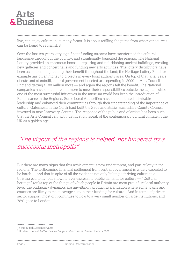live, can enjoy culture in its many forms. It is about refilling the purse from whatever sources can be found to replenish it.

Over the last ten years very significant funding streams have transformed the cultural landscape throughout the country, and significantly benefited the regions. The National Lottery provided an enormous boost — repairing and refurbishing ancient buildings, creating new galleries and concert halls and funding new arts activities. The lottery distributors have been assiduous in spreading their benefit throughout the land; the Heritage Lottery Fund for example has given money to projects in every local authority area. On top of that, after years of cuts and standstill, central government boosted arts spending in 2000 — Arts Council England getting £100 million more — and again the regions felt the benefit. The National companies have done more and more to meet their responsibilities outside the capital, while one of the most successful initiatives in the museum world has been the introduction of Renaissance in the Regions. Some Local Authorities have demonstrated admirable leadership and enhanced their communities through their understanding of the importance of culture. Gateshead in the North East built the Sage and Baltic; Hampshire County Council invested in new Discovery Centres. The response of the public and of artists has been such that the Arts Council can, with justification, speak of the contemporary cultural climate in the UK as a golden age.

#### "The vigour of the regions is helped, not hindered by a successful metropolis"

But there are many signs that this achievement is now under threat, and particularly in the regions. The forthcoming financial settlement from central government is widely expected to be harsh — and that in spite of all the evidence not only linking a thriving culture to a thriving economy, but showing ever-increasing public demand for culture — "Cultural heritage" ranks top of the things of which people in Britain are most proud<sup>2</sup>. At local authority level, the budgetary dynamics are unwittingly producing a situation where some towns and counties are likely to make savage cuts in their funding for culture<sup>3</sup>. And in terms of private sector support, most of it continues to flow to a very small number of large institutions, and 78% goes to London.

<sup>2</sup> Yougov poll December 2006

<sup>3</sup> Holden, J. *Local Authorities: a change in the cultural climate?* Demos 2006

Page 7 Funding Decentralisation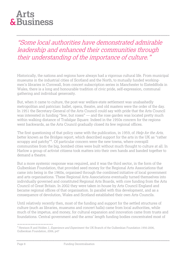#### "Some local authorities have demonstrated admirable leadership and enhanced their communities through their understanding of the importance of culture."

Historically, the nations and regions have always had a vigorous cultural life. From municipal museums in the industrial cities of Scotland and the North, to mutually funded workingmen's libraries in Cornwall, from concert subscription series in Manchester to Eisteddfods in Wales, there is a long and honourable tradition of civic pride, self-expression, communal gathering and individual generosity.

But, when it came to culture, the post-war welfare-state settlement was unabashedly metropolitan and patrician: ballet, opera, theatre, and old masters were the order of the day. In 1951 the Secretary-General of the Arts Council could say with pride that the Arts Council was interested in funding "few, but roses" — and the rose garden was located pretty much within walking distance of Trafalgar Square. Indeed in the 1950s concern for the regions went backwards, as the Arts Council gradually closed its few regional offices.

The first questioning of that policy came with the publication, in 1959, of *Help for the Arts*, better known as the Bridges report, which described support for the arts in the UK as "rather scrappy and patchy"<sup>4</sup>. Of particular concern were the new towns, where overspill communities from the big, bombed cities were built without much thought to culture at all. In Harlow a group of activist citizens took matters into their own hands and banded together to demand a theatre.

But a more systemic response was required, and it was the third sector, in the form of the Gulbenkian Foundation, that provided seed money for the Regional Arts Associations that came into being in the 1960s, organised through the combined initiative of local government and arts organisations. These Regional Arts Associations eventually turned themselves into individually governed and constituted Regional Arts Boards, with core funding from the Arts Council of Great Britain. In 2002 they were taken in-house by Arts Council England and became regional offices of that organisation. In parallel with this development, and as a consequence of devolution, Wales and Scotland established their own Arts Councils.

Until relatively recently then, most of the funding and support for the settled structures of culture (such as libraries, museums and concert halls) came from local authorities, while much of the impetus, and money, for cultural expansion and innovation came from trusts and foundations. Central government and the arms' length funding bodies concentrated most of

<sup>&</sup>lt;sup>4</sup> Hewison R and Holden J, Experience and Experiment: the UK Branch of the Gulbenkian Foundation 1956-2006, Gulbenkian Foundation, 2006, p47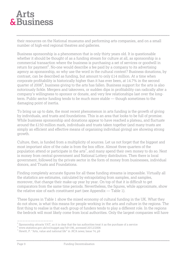### **Arts** & Business

their resources on the National museums and performing arts companies, and on a small number of high-end regional theatres and galleries.

Business sponsorship is a phenomenon that is only thirty years old. It is questionable whether it should be thought of as a funding stream for culture at all, as sponsorship is a commercial transaction where the business is purchasing a set of services or goodwill in return for payment<sup>5</sup>. No-one would describe a fee paid by a company to its advertising agency as sponsorship, so why use the word in the cultural context? Business donations, by contrast, can be described as funding, but amount to only £14 million. At a time when corporate profitability is historically higher than it has ever been, at 14.7% in the second quarter of 2006<sup>6</sup>, business giving to the arts has fallen. Business support for the arts is also notoriously fickle. Mergers and takeovers, or sudden dips in profitability can radically alter a company's willingness to sponsor or donate, and very few relationships last over the longterm. Public sector funding tends to be much more stable — though sometimes to the damaging point of inertia.

To bring us up to date, the most recent phenomenon in arts funding is the growth of giving by individuals, and trusts and foundations. This is an area that looks to be full of promise. While business sponsorship and donations appear to have reached a plateau, and fluctuate around the £150 million mark, individuals and trusts taken together (and many trusts are simply an efficient and effective means of organising individual giving) are showing strong growth.

Culture, then, is funded from a multiplicity of sources. Let us not forget that the biggest and most important slice of the cake is from the box office. Almost three quarters of the population attend or participate in the  $arts^7$ , and many spend their own money to do so. Next is money from central government and National Lottery distributors. Then there is local government, followed by the private sector in the form of money from businesses, individual donors, and Trusts and Foundations.

Finding completely accurate figures for all these funding streams is impossible. Virtually all the statistics are estimates, calculated by extrapolating from samples, and samples, moreover, that change their make-up year by year. On top of that it is difficult to get comparators from the same time periods. Nevertheless, the figures, while approximate, show the relative size of each constituent part (see Appendix — Table 1).

These figures in Table 1 show the mixed economy of cultural funding in the UK. What they do not show, is what this means for people working in the arts and culture in the regions. The first thing to realise is that each group of funders tends to play a different role. In the regions the bedrock will most likely come from local authorities. Only the largest companies will have

......................................

<sup>&</sup>lt;sup>5</sup> Sponsorship attracts VAT, so it is clear that the tax authorities treat it as the purchase of a service

<sup>6</sup> www.statistics.gov.uk/cci/nugget.asp?id=196, accessed 20/12/2006

 $7$  Hewitt, P. "Arts, value and national life" in *NCA news*, Issue 74, p9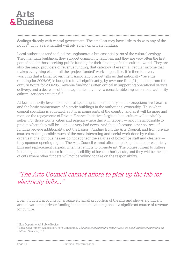dealings directly with central government. The smallest may have little to do with any of the ndpbs<sup>8</sup>. Only a rare handful will rely solely on private funding.

Local authorities tend to fund the unglamorous but essential parts of the cultural ecology. They maintain buildings, they support community facilities, and they are very often the first port of call for those seeking public funding for their first steps in the cultural world. They are also the major providers of revenue funding, that category of essential, regular income that makes everything else — all the 'project funded' work — possible. It is therefore very worrying that a Local Government Association report tells us that nationally "revenue (funding for 2005/06) is budgeted to fall significantly, by over one-fifth (21 per cent) from the outturn figure for 2004/05. Revenue funding is often critical in supporting operational service delivery, and a decrease of this magnitude may have a considerable impact on local authority cultural services activities<sup>9</sup>."

At local authority level most cultural spending is discretionary — the exceptions are libraries and the basic maintenance of historic buildings in the authorities' ownership. Thus when council spending is squeezed, as it is in some parts of the country, and as it will be more and more as the repayments of Private Finance Initiatives begin to bite, culture will inevitably suffer. For those towns, cities and regions where this will happen — and it is impossible to predict where they will be — this is very bad news. And that is because other sources of funding provide additionality, not the basics. Funding from the Arts Council, and from private sources makes possible much of the most interesting and useful work done by cultural organisations, but businesses do not sponsor the salaries of box-office staff and cleaners they sponsor opening nights. The Arts Council cannot afford to pick up the tab for electricity bills and replacement carpets, when its remit is to promote art. The biggest threat to culture in the regions thus comes from the possibility of local authority cuts, and they will be the sort of cuts where other funders will not be willing to take on the responsibility.

#### "The Arts Council cannot afford to pick up the tab for electricity bills..."

Even though it accounts for a relatively small proportion of the mix and shows significant annual variation, private funding in the nations and regions is a significant source of revenue for culture.

<sup>8</sup> Non Departmental Public Bodies

<sup>&</sup>lt;sup>9</sup> Local Government Association/York Consulting, *The Impact of Spending Review 2004 on Local Authority Spending on* Cultural Services, p39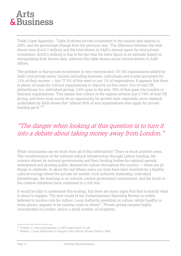Table 2 (see Appendix - Table 2) shows private investment in the nations and regions in 2005, and the percentage change from the previous year. The difference between the total shown here (£410.7 million) and the total shown in A&B's annual report for total private investment, (£529.5 million) is due to the fact that the latter figure is an estimate based on extrapolating from known data, whereas this table shows actual returns known to A&B offices.

The problem is that private investment is very concentrated. Of 745 organisations polled by A&B, total private sector income (including business, individuals and trusts) accounted for 13% of their income — but 77.3% of this went to just 1% of respondents. It appears that there is plenty of scope for cultural organisations to improve on this result. Out of total UK philanthropy (i.e. individual giving), 3.6% goes to the arts. 78% of that goes into London or National organisations. This means that culture in the regions attracts just 0.79% of total UK giving, and there must surely be an opportunity for growth here, especially since research undertaken by A&B shows that "almost 80% of arts organisations who apply for private funding get it."<sup>10</sup>

#### "The danger when looking at this question is to turn it into a debate about taking money away from London."

What conclusions can we draw from all of this information? There is much positive news. The transformation of the national cultural infrastructure through Lottery funding, the concern shown by national governments and their funding bodies for regional agenda, widespread and growing public demand for culture throughout the country — these are all things to celebrate. In about the last fifteen years our lives have been enriched by a healthy cultural ecology where the private art market, local authority leadership, individual philanthropy, the teaching in art schools, central government commitment, and the boom in the creative industries have combined in a rich mix.

It would be folly to undermine this ecology, but there are many signs that that is exactly what is about to happen. The next round of the Comprehensive Spending Review is widely believed to involve cuts for culture. Local Authority spending on culture, whilst healthy in some places, appears to be nearing crisis in others<sup>11</sup>. Private giving remains highly concentrated in London, and to a small number of recipients.

 $10$  Tweedy, C. Arts and business, in *NCA news*, Issue 74, p8

 $11$  Holden, J Local Authorities: a change in the cultural climate? Demos, 2006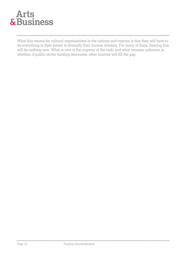

#### 

What this means for cultural organisations in the nations and regions is that they will have to do everything in their power to diversify their income streams. For many of them, hearing this will be nothing new. What is new is the urgency of the task; and what remains unknown is whether, if public sector funding decreases, other sources will fill the gap.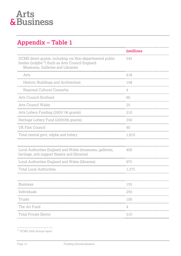#### **Appendix – Table 1**

| <b>£millions</b> |
|------------------|
| 545              |
| 418              |
| 158              |
|                  |
| 60               |
| 25               |
| 210              |
| 350              |
| 40               |
| 1,810            |
|                  |
| 400              |
| 975              |
| 1,375            |
|                  |
| 155              |
| 250              |
| 100              |
| 4                |
| 510              |
|                  |

...................................... <sup>12</sup> DCMS 2006 Annual report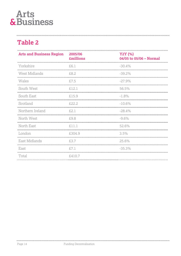#### **Table 2**

| <b>Arts and Business Region</b> | 2005/06<br><b>£millions</b> | Y2Y (%)<br>04/05 to 05/06 - Normal |
|---------------------------------|-----------------------------|------------------------------------|
| Yorkshire                       | £6.1                        | $-30.4%$                           |
| West Midlands                   | £8.2                        | $-39.2%$                           |
| Wales                           | £7.5                        | $-27.9%$                           |
| South West                      | £12.1                       | 56.5%                              |
| South East                      | £15.9                       | $-1.8\%$                           |
| Scotland                        | £22.2                       | $-10.6%$                           |
| Northern Ireland                | £2.1                        | $-28.4%$                           |
| North West                      | £9.8                        | $-9.6%$                            |
| North East                      | £11.1                       | 52.6%                              |
| London                          | £304.9                      | 3.5%                               |
| East Midlands                   | £3.7                        | 25.6%                              |
| East                            | £7.1                        | $-35.3%$                           |
| Total                           | £410.7                      |                                    |